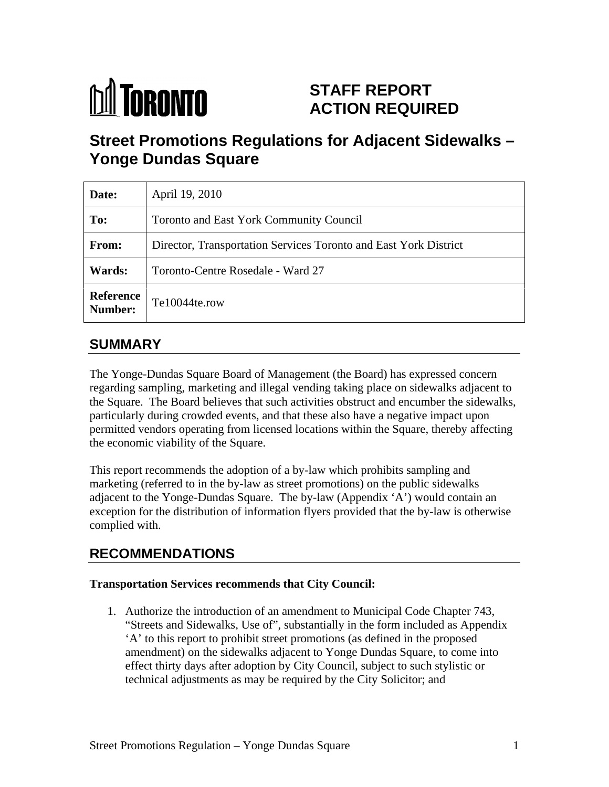

# **STAFF REPORT ACTION REQUIRED**

# **Street Promotions Regulations for Adjacent Sidewalks – Yonge Dundas Square**

| Date:  | April 19, 2010                                                   |
|--------|------------------------------------------------------------------|
| To:    | Toronto and East York Community Council                          |
| From:  | Director, Transportation Services Toronto and East York District |
| Wards: | Toronto-Centre Rosedale - Ward 27                                |
|        | Reference<br>Number: Te10044te.row                               |

## **SUMMARY**

The Yonge-Dundas Square Board of Management (the Board) has expressed concern regarding sampling, marketing and illegal vending taking place on sidewalks adjacent to the Square. The Board believes that such activities obstruct and encumber the sidewalks, particularly during crowded events, and that these also have a negative impact upon permitted vendors operating from licensed locations within the Square, thereby affecting the economic viability of the Square.

This report recommends the adoption of a by-law which prohibits sampling and marketing (referred to in the by-law as street promotions) on the public sidewalks adjacent to the Yonge-Dundas Square. The by-law (Appendix 'A') would contain an exception for the distribution of information flyers provided that the by-law is otherwise complied with.

## **RECOMMENDATIONS**

#### **Transportation Services recommends that City Council:**

1. Authorize the introduction of an amendment to Municipal Code Chapter 743, "Streets and Sidewalks, Use of", substantially in the form included as Appendix 'A' to this report to prohibit street promotions (as defined in the proposed amendment) on the sidewalks adjacent to Yonge Dundas Square, to come into effect thirty days after adoption by City Council, subject to such stylistic or technical adjustments as may be required by the City Solicitor; and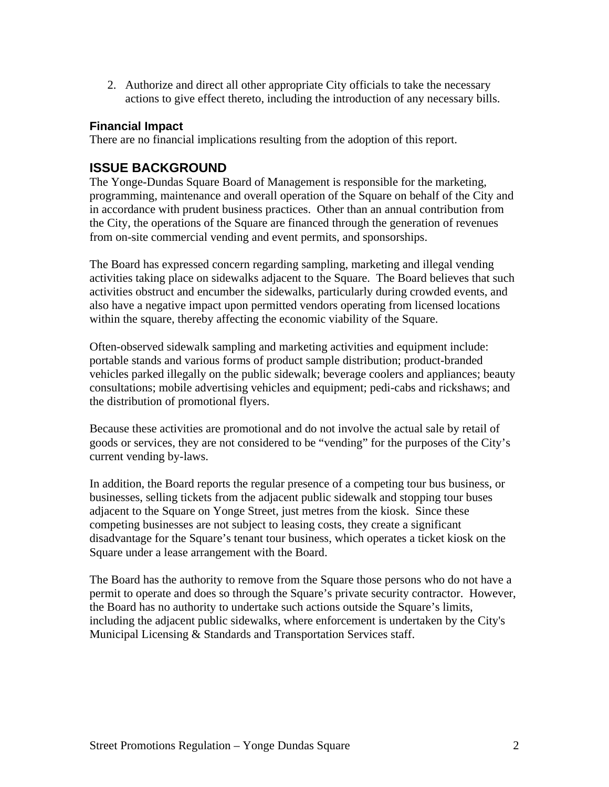2. Authorize and direct all other appropriate City officials to take the necessary actions to give effect thereto, including the introduction of any necessary bills.

#### **Financial Impact**

There are no financial implications resulting from the adoption of this report.

#### **ISSUE BACKGROUND**

The Yonge-Dundas Square Board of Management is responsible for the marketing, programming, maintenance and overall operation of the Square on behalf of the City and in accordance with prudent business practices. Other than an annual contribution from the City, the operations of the Square are financed through the generation of revenues from on-site commercial vending and event permits, and sponsorships.

The Board has expressed concern regarding sampling, marketing and illegal vending activities taking place on sidewalks adjacent to the Square. The Board believes that such activities obstruct and encumber the sidewalks, particularly during crowded events, and also have a negative impact upon permitted vendors operating from licensed locations within the square, thereby affecting the economic viability of the Square.

Often-observed sidewalk sampling and marketing activities and equipment include: portable stands and various forms of product sample distribution; product-branded vehicles parked illegally on the public sidewalk; beverage coolers and appliances; beauty consultations; mobile advertising vehicles and equipment; pedi-cabs and rickshaws; and the distribution of promotional flyers.

Because these activities are promotional and do not involve the actual sale by retail of goods or services, they are not considered to be "vending" for the purposes of the City's current vending by-laws.

In addition, the Board reports the regular presence of a competing tour bus business, or businesses, selling tickets from the adjacent public sidewalk and stopping tour buses adjacent to the Square on Yonge Street, just metres from the kiosk. Since these competing businesses are not subject to leasing costs, they create a significant disadvantage for the Square's tenant tour business, which operates a ticket kiosk on the Square under a lease arrangement with the Board.

The Board has the authority to remove from the Square those persons who do not have a permit to operate and does so through the Square's private security contractor. However, the Board has no authority to undertake such actions outside the Square's limits, including the adjacent public sidewalks, where enforcement is undertaken by the City's Municipal Licensing & Standards and Transportation Services staff.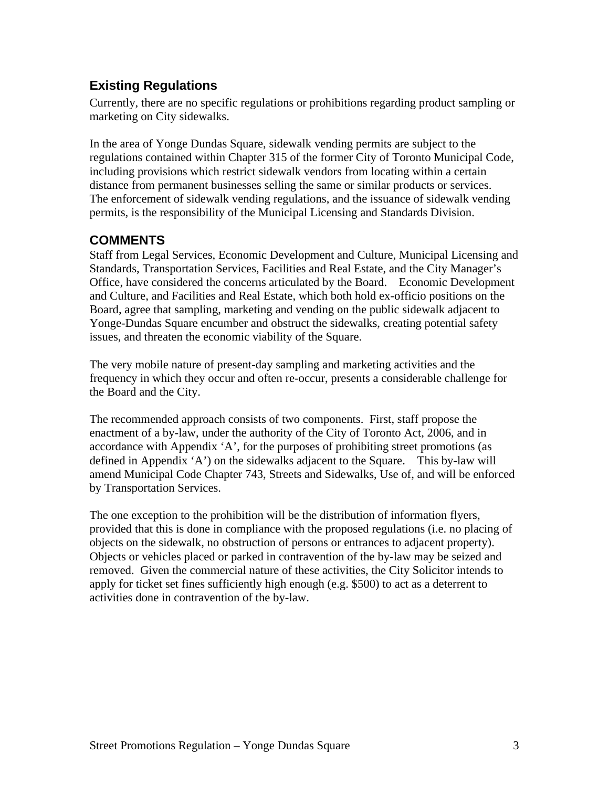## **Existing Regulations**

Currently, there are no specific regulations or prohibitions regarding product sampling or marketing on City sidewalks.<br>In the area of Yonge Dundas Square, sidewalk vending permits are subject to the

regulations contained within Chapter 315 of the former City of Toronto Municipal Code, including provisions which restrict sidewalk vendors from locating within a certain distance from permanent businesses selling the same or similar products or services. The enforcement of sidewalk vending regulations, and the issuance of sidewalk vending permits, is the responsibility of the Municipal Licensing and Standards Division.

#### **COMMENTS**

Staff from Legal Services, Economic Development and Culture, Municipal Licensing and Standards, Transportation Services, Facilities and Real Estate, and the City Manager's Office, have considered the concerns articulated by the Board. Economic Development and Culture, and Facilities and Real Estate, which both hold ex-officio positions on the Board, agree that sampling, marketing and vending on the public sidewalk adjacent to Yonge-Dundas Square encumber and obstruct the sidewalks, creating potential safety issues, and threaten the economic viability of the Square.

The very mobile nature of present-day sampling and marketing activities and the frequency in which they occur and often re-occur, presents a considerable challenge for the Board and the City.<br>The recommended approach consists of two components. First, staff propose the

enactment of a by-law, under the authority of the City of Toronto Act, 2006, and in accordance with Appendix 'A', for the purposes of prohibiting street promotions (as defined in Appendix 'A') on the sidewalks adjacent to the Square. This by-law will amend Municipal Code Chapter 743, Streets and Sidewalks, Use of, and will be enforced

by Transportation Services.<br>The one exception to the prohibition will be the distribution of information flyers, provided that this is done in compliance with the proposed regulations (i.e. no placing of objects on the sidewalk, no obstruction of persons or entrances to adjacent property). Objects or vehicles placed or parked in contravention of the by-law may be seized and removed. Given the commercial nature of these activities, the City Solicitor intends to apply for ticket set fines sufficiently high enough (e.g. \$500) to act as a deterrent to activities done in contravention of the by-law.